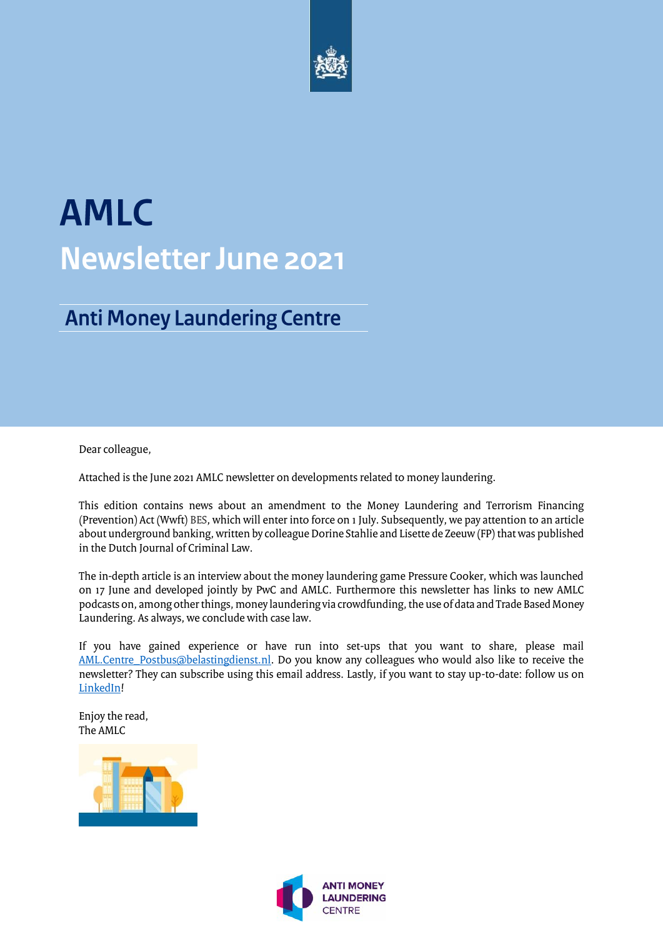

# **AMLC Newsletter June 2021**

### **Anti Money Laundering Centre**

Dear colleague,

Attached is the June 2021 AMLC newsletter on developments related to money laundering.

This edition contains news about an amendment to the Money Laundering and Terrorism Financing (Prevention) Act (Wwft) BES, which will enter into force on 1 July. Subsequently, we pay attention to an article about underground banking, written by colleague Dorine Stahlie and Lisette de Zeeuw (FP) that was published in the Dutch Journal of Criminal Law.

The in-depth article is an interview about the money laundering game Pressure Cooker, which was launched on 17 June and developed jointly by PwC and AMLC. Furthermore this newsletter has links to new AMLC podcasts on, among other things, money laundering via crowdfunding, the use of data and Trade Based Money Laundering. As always, we conclude with case law.

If you have gained experience or have run into set-ups that you want to share, please mail [AML.Centre\\_Postbus@belastingdienst.nl.](mailto:AML.Centre_Postbus@belastingdienst.nl) Do you know any colleagues who would also like to receive the newsletter? They can subscribe using this email address. Lastly, if you want to stay up-to-date: follow us on [LinkedIn!](https://nl.linkedin.com/company/amlc)

Enjoy the read, The AMLC



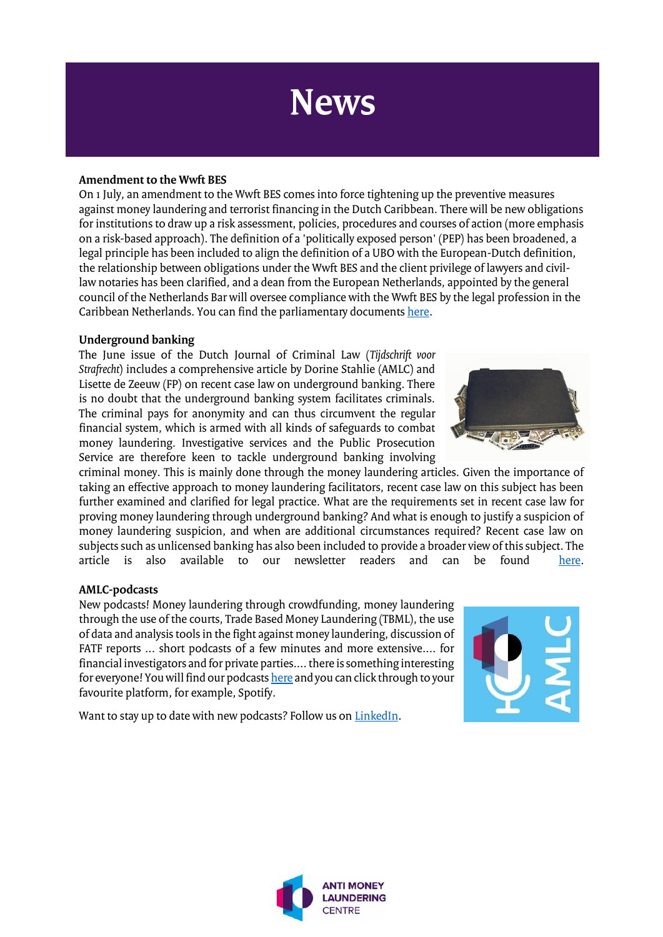### **News**

#### **Amendment to the Wwft BES**

On 1 July, an amendment to the Wwft BES comes into force tightening up the preventive measures against money laundering and terrorist financing in the Dutch Caribbean. There will be new obligations for institutions to draw up a risk assessment, policies, procedures and courses of action (more emphasis on a risk-based approach). The definition of a 'politically exposed person' (PEP) has been broadened, a legal principle has been included to align the definition of a UBO with the European-Dutch definition, the relationship between obligations under the Wwft BES and the client privilege of lawyers and civillaw notaries has been clarified, and a dean from the European Netherlands, appointed by the general council of the Netherlands Bar will oversee compliance with the Wwft BES by the legal profession in the Caribbean Netherlands. You can find the parliamentary document[s here.](https://zoek.officielebekendmakingen.nl/dossier/35458)

#### **Underground banking**

The June issue of the Dutch Journal of Criminal Law (*Tijdschrift voor Strafrecht*) includes a comprehensive article by Dorine Stahlie (AMLC) and Lisette de Zeeuw (FP) on recent case law on underground banking. There is no doubt that the underground banking system facilitates criminals. The criminal pays for anonymity and can thus circumvent the regular financial system, which is armed with all kinds of safeguards to combat money laundering. Investigative services and the Public Prosecution Service are therefore keen to tackle underground banking involving

criminal money. This is mainly done through the money laundering articles. Given the importance of taking an effective approach to money laundering facilitators, recent case law on this subject has been further examined and clarified for legal practice. What are the requirements set in recent case law for proving money laundering through underground banking? And what is enough to justify a suspicion of money laundering suspicion, and when are additional circumstances required? Recent case law on subjects such as unlicensed banking has also been included to provide a broader view of this subject. The article is also available to our newsletter readers and can be found here. article is also available to our newsletter readers and can

#### **AMLC-podcasts**

New podcasts! Money laundering through crowdfunding, money laundering through the use of the courts, Trade Based Money Laundering (TBML), the use of data and analysis tools in the fight against money laundering, discussion of FATF reports ... short podcasts of a few minutes and more extensive.... for financial investigators and for private parties.... there is something interesting for everyone! You will find our podcast[s here](https://anchor.fm/amlc-podcast) and you can click through to your favourite platform, for example, Spotify.



Want to stay up to date with new podcasts? Follow us o[n LinkedIn.](https://nl.linkedin.com/company/amlc)

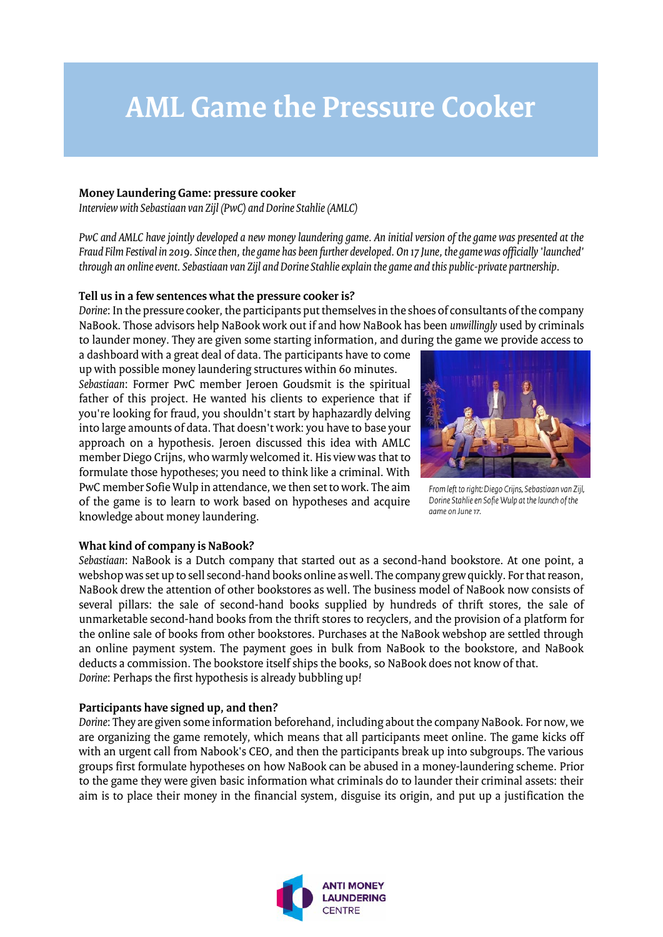### **AML Game the Pressure Cooker**

#### **Money Laundering Game: pressure cooker**

*Interview with Sebastiaan van Zijl (PwC) and Dorine Stahlie (AMLC)*

*PwC and AMLC have jointly developed a new money laundering game. An initial version of the game was presented at the Fraud Film Festival in 2019. Since then, the game has been further developed. On 17 June, the game was officially 'launched' through an online event. Sebastiaan van Zijl and Dorine Stahlie explain the game and this public-private partnership.* 

#### **Tell us in a few sentences what the pressure cooker is?**

*Dorine*: In the pressure cooker, the participants put themselves in the shoes of consultants of the company NaBook. Those advisors help NaBook work out if and how NaBook has been *unwillingly* used by criminals to launder money. They are given some starting information, and during the game we provide access to

a dashboard with a great deal of data. The participants have to come up with possible money laundering structures within 60 minutes. *Sebastiaan*: Former PwC member Jeroen Goudsmit is the spiritual father of this project. He wanted his clients to experience that if you're looking for fraud, you shouldn't start by haphazardly delving into large amounts of data. That doesn't work: you have to base your approach on a hypothesis. Jeroen discussed this idea with AMLC member Diego Crijns, who warmly welcomed it. His view was that to formulate those hypotheses; you need to think like a criminal. With PwC member Sofie Wulp in attendance, we then set to work. The aim of the game is to learn to work based on hypotheses and acquire knowledge about money laundering.



From left to right: Diego Crijns, Sebastiaan van Zijl, Dorine Stahlie en Sofie Wulp at the launch of the aame on June 17.

#### **What kind of company is NaBook?**

*Sebastiaan*: NaBook is a Dutch company that started out as a second-hand bookstore. At one point, a webshop was set up to sell second-hand books online as well. The company grew quickly. For that reason, NaBook drew the attention of other bookstores as well. The business model of NaBook now consists of several pillars: the sale of second-hand books supplied by hundreds of thrift stores, the sale of unmarketable second-hand books from the thrift stores to recyclers, and the provision of a platform for the online sale of books from other bookstores. Purchases at the NaBook webshop are settled through an online payment system. The payment goes in bulk from NaBook to the bookstore, and NaBook deducts a commission. The bookstore itself ships the books, so NaBook does not know of that. *Dorine*: Perhaps the first hypothesis is already bubbling up!

#### **Participants have signed up, and then?**

*Dorine*: They are given some information beforehand, including about the company NaBook. For now, we are organizing the game remotely, which means that all participants meet online. The game kicks off with an urgent call from Nabook's CEO, and then the participants break up into subgroups. The various groups first formulate hypotheses on how NaBook can be abused in a money-laundering scheme. Prior to the game they were given basic information what criminals do to launder their criminal assets: their aim is to place their money in the financial system, disguise its origin, and put up a justification the

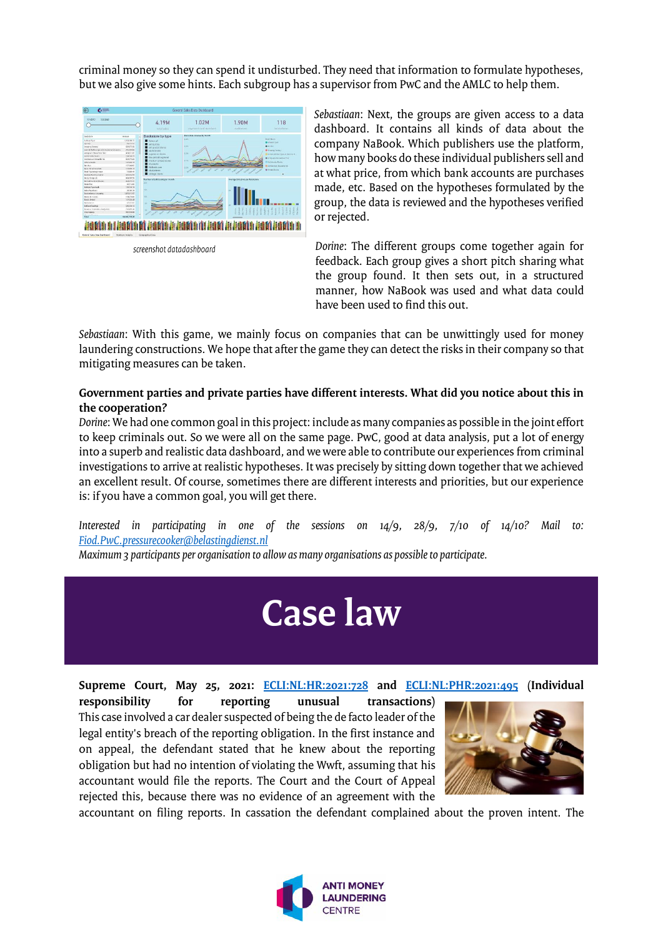criminal money so they can spend it undisturbed. They need that information to formulate hypotheses, but we also give some hints. Each subgroup has a supervisor from PwC and the AMLC to help them.



screenshot datadashboard

*Sebastiaan*: Next, the groups are given access to a data dashboard. It contains all kinds of data about the company NaBook. Which publishers use the platform, how many books do these individual publishers sell and at what price, from which bank accounts are purchases made, etc. Based on the hypotheses formulated by the group, the data is reviewed and the hypotheses verified or rejected.

*Dorine*: The different groups come together again for feedback. Each group gives a short pitch sharing what the group found. It then sets out, in a structured manner, how NaBook was used and what data could have been used to find this out.

*Sebastiaan*: With this game, we mainly focus on companies that can be unwittingly used for money laundering constructions. We hope that after the game they can detect the risks in their company so that mitigating measures can be taken.

#### **Government parties and private parties have different interests. What did you notice about this in the cooperation?**

*Dorine*: We had one common goal in this project: include as many companies as possible in the joint effort to keep criminals out. So we were all on the same page. PwC, good at data analysis, put a lot of energy into a superb and realistic data dashboard, and we were able to contribute our experiences from criminal investigations to arrive at realistic hypotheses. It was precisely by sitting down together that we achieved an excellent result. Of course, sometimes there are different interests and priorities, but our experience is: if you have a common goal, you will get there.

*Interested in participating in one of the sessions on 14/9, 28/9, 7/10 of 14/10? Mail to: [Fiod.PwC.pressurecooker@belastingdienst.nl](mailto:Fiod.PwC.pressurecooker@belastingdienst.nl)*

*Maximum 3 participants per organisation to allow as many organisations as possible to participate.*

## **Case law**

**Supreme Court, May 25, 2021: [ECLI:NL:HR:2021:728](https://uitspraken.rechtspraak.nl/inziendocument?id=ECLI:NL:HR:2021:728&showbutton=true&keyword=2021:728) and [ECLI:NL:PHR:2021:495](https://uitspraken.rechtspraak.nl/inziendocument?id=ECLI:NL:PHR:2021:495&showbutton=true&keyword=ECLI:NL:PHR:2021:495+) (Individual** 

**responsibility for reporting unusual transactions)** This case involved a car dealer suspected of being the de facto leader of the legal entity's breach of the reporting obligation. In the first instance and on appeal, the defendant stated that he knew about the reporting obligation but had no intention of violating the Wwft, assuming that his accountant would file the reports. The Court and the Court of Appeal rejected this, because there was no evidence of an agreement with the



accountant on filing reports. In cassation the defendant complained about the proven intent. The

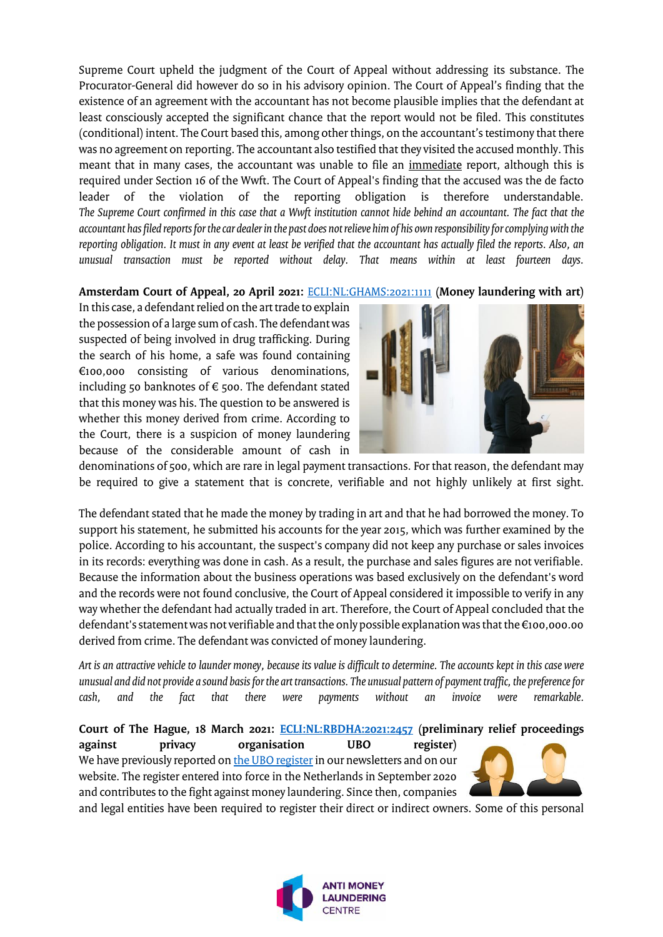Supreme Court upheld the judgment of the Court of Appeal without addressing its substance. The Procurator-General did however do so in his advisory opinion. The Court of Appeal's finding that the existence of an agreement with the accountant has not become plausible implies that the defendant at least consciously accepted the significant chance that the report would not be filed. This constitutes (conditional) intent. The Court based this, among other things, on the accountant'stestimony that there was no agreement on reporting. The accountant also testified that they visited the accused monthly. This meant that in many cases, the accountant was unable to file an immediate report, although this is required under Section 16 of the Wwft. The Court of Appeal's finding that the accused was the de facto leader of the violation of the reporting obligation is therefore understandable. *The Supreme Court confirmed in this case that a Wwft institution cannot hide behind an accountant. The fact that the accountant has filed reports for the car dealer in the past does not relieve him of his own responsibility for complying with the reporting obligation. It must in any event at least be verified that the accountant has actually filed the reports. Also, an unusual transaction must be reported without delay. That means within at least fourteen days.*

#### **Amsterdam Court of Appeal, 20 April 2021:** [ECLI:NL:GHAMS:2021:1111](https://uitspraken.rechtspraak.nl/inziendocument?id=ECLI:NL:GHAMS:2021:1111&showbutton=true&keyword=ECLI:NL:GHAMS:2021:1111+) **(Money laundering with art)**

In this case, a defendant relied on the art trade to explain the possession of a large sum of cash. The defendant was suspected of being involved in drug trafficking. During the search of his home, a safe was found containing €100,000 consisting of various denominations, including 50 banknotes of  $\epsilon$  500. The defendant stated that this money was his. The question to be answered is whether this money derived from crime. According to the Court, there is a suspicion of money laundering because of the considerable amount of cash in



denominations of 500, which are rare in legal payment transactions. For that reason, the defendant may be required to give a statement that is concrete, verifiable and not highly unlikely at first sight.

The defendant stated that he made the money by trading in art and that he had borrowed the money. To support his statement, he submitted his accounts for the year 2015, which was further examined by the police. According to his accountant, the suspect's company did not keep any purchase or sales invoices in its records: everything was done in cash. As a result, the purchase and sales figures are not verifiable. Because the information about the business operations was based exclusively on the defendant's word and the records were not found conclusive, the Court of Appeal considered it impossible to verify in any way whether the defendant had actually traded in art. Therefore, the Court of Appeal concluded that the defendant's statement was not verifiable and that the only possible explanation was that the €100,000.00 derived from crime. The defendant was convicted of money laundering.

*Art is an attractive vehicle to launder money, because its value is difficult to determine. The accounts kept in this case were unusual and did not provide a sound basis for the art transactions. The unusual pattern of payment traffic, the preference for cash, and the fact that there were payments without an invoice were remarkable.*

#### **Court of The Hague, 18 March 2021: [ECLI:NL:RBDHA:2021:2457](https://uitspraken.rechtspraak.nl/inziendocument?id=ECLI:NL:RBDHA:2021:2457&showbutton=true&keyword=ECLI:NL:RBDHA:2021:2457) (preliminary relief proceedings**

**against privacy organisation UBO register)** We have previously reported o[n the UBO register](https://www.amlc.nl/ubo-ultimate-beneficial-owners/) in our newsletters and on our website. The register entered into force in the Netherlands in September 2020 and contributes to the fight against money laundering. Since then, companies



and legal entities have been required to register their direct or indirect owners. Some of this personal

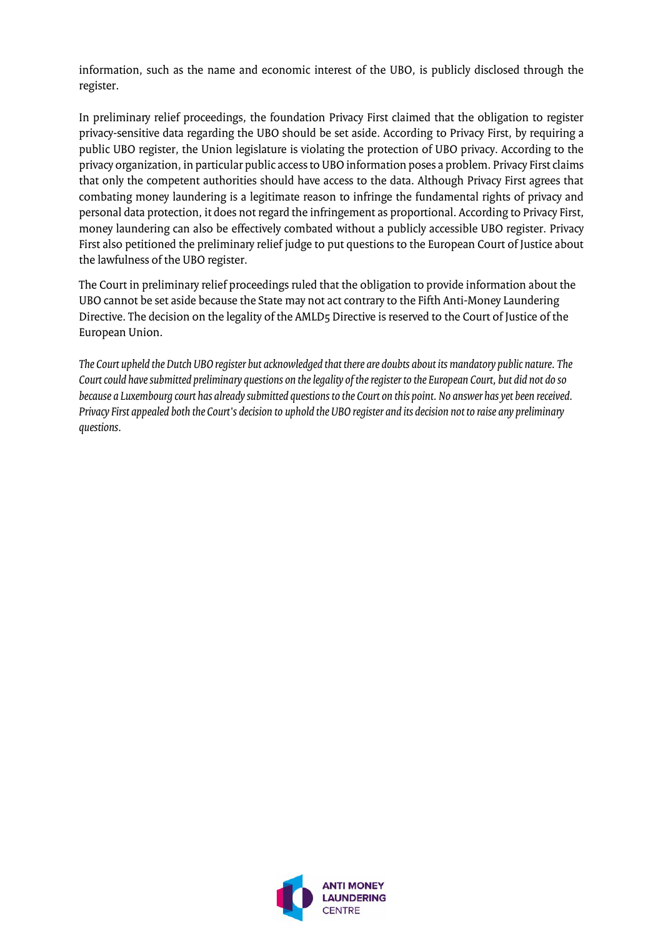information, such as the name and economic interest of the UBO, is publicly disclosed through the register.

In preliminary relief proceedings, the foundation Privacy First claimed that the obligation to register privacy-sensitive data regarding the UBO should be set aside. According to Privacy First, by requiring a public UBO register, the Union legislature is violating the protection of UBO privacy. According to the privacy organization, in particular public access to UBO information poses a problem. Privacy First claims that only the competent authorities should have access to the data. Although Privacy First agrees that combating money laundering is a legitimate reason to infringe the fundamental rights of privacy and personal data protection, it does not regard the infringement as proportional. According to Privacy First, money laundering can also be effectively combated without a publicly accessible UBO register. Privacy First also petitioned the preliminary relief judge to put questions to the European Court of Justice about the lawfulness of the UBO register.

The Court in preliminary relief proceedings ruled that the obligation to provide information about the UBO cannot be set aside because the State may not act contrary to the Fifth Anti-Money Laundering Directive. The decision on the legality of the AMLD5 Directive is reserved to the Court of Justice of the European Union.

*The Court upheld the Dutch UBO register but acknowledged that there are doubts about its mandatory public nature. The Court could have submitted preliminary questions on the legality of the register to the European Court, but did not do so because a Luxembourg court has already submitted questions to the Court on this point. No answer has yet been received. Privacy First appealed both the Court's decision to uphold the UBO register and its decision not to raise any preliminary questions.*